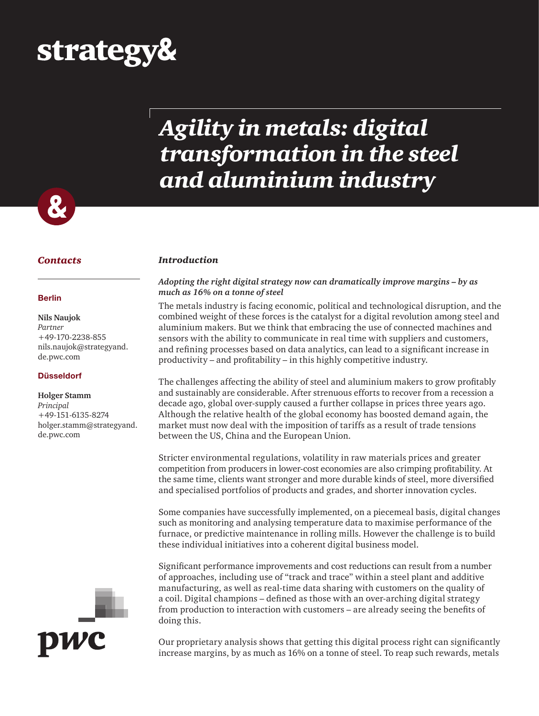# strategy&

# *Agility in metals: digital transformation in the steel and aluminium industry*



#### *Contacts Introduction*

#### **Berlin**

#### **Nils Naujok** *Partner*  +49-170-2238-855 nils.naujok@strategyand. de.pwc.com

#### **Düsseldorf**

#### **Holger Stamm**

*Principal* +49-151-6135-8274 holger.stamm@strategyand. de.pwc.com



#### *Adopting the right digital strategy now can dramatically improve margins – by as much as 16% on a tonne of steel*

The metals industry is facing economic, political and technological disruption, and the combined weight of these forces is the catalyst for a digital revolution among steel and aluminium makers. But we think that embracing the use of connected machines and sensors with the ability to communicate in real time with suppliers and customers, and refining processes based on data analytics, can lead to a significant increase in productivity – and profitability – in this highly competitive industry.

The challenges affecting the ability of steel and aluminium makers to grow profitably and sustainably are considerable. After strenuous efforts to recover from a recession a decade ago, global over-supply caused a further collapse in prices three years ago. Although the relative health of the global economy has boosted demand again, the market must now deal with the imposition of tariffs as a result of trade tensions between the US, China and the European Union.

Stricter environmental regulations, volatility in raw materials prices and greater competition from producers in lower-cost economies are also crimping profitability. At the same time, clients want stronger and more durable kinds of steel, more diversified and specialised portfolios of products and grades, and shorter innovation cycles.

Some companies have successfully implemented, on a piecemeal basis, digital changes such as monitoring and analysing temperature data to maximise performance of the furnace, or predictive maintenance in rolling mills. However the challenge is to build these individual initiatives into a coherent digital business model.

Significant performance improvements and cost reductions can result from a number of approaches, including use of "track and trace" within a steel plant and additive manufacturing, as well as real-time data sharing with customers on the quality of a coil. Digital champions – defined as those with an over-arching digital strategy from production to interaction with customers – are already seeing the benefits of doing this.

Our proprietary analysis shows that getting this digital process right can significantly increase margins, by as much as 16% on a tonne of steel. To reap such rewards, metals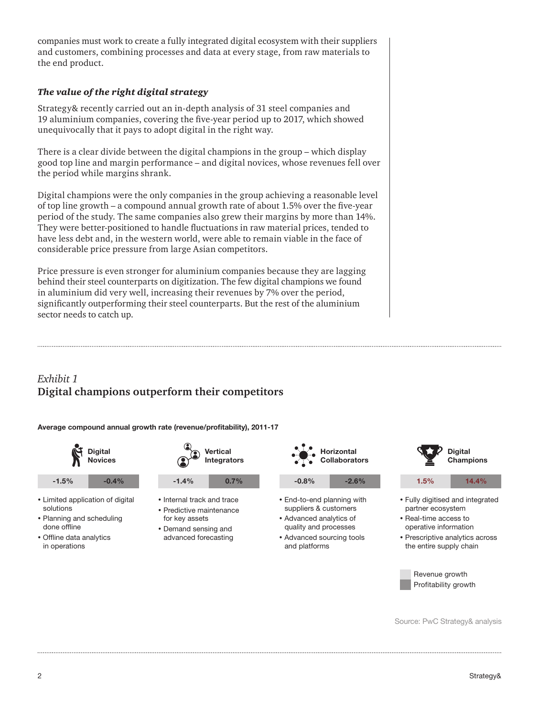companies must work to create a fully integrated digital ecosystem with their suppliers and customers, combining processes and data at every stage, from raw materials to the end product.

#### *The value of the right digital strategy*

Strategy& recently carried out an in-depth analysis of 31 steel companies and 19 aluminium companies, covering the five-year period up to 2017, which showed unequivocally that it pays to adopt digital in the right way.

There is a clear divide between the digital champions in the group – which display good top line and margin performance – and digital novices, whose revenues fell over the period while margins shrank.

Digital champions were the only companies in the group achieving a reasonable level of top line growth – a compound annual growth rate of about 1.5% over the five-year period of the study. The same companies also grew their margins by more than 14%. They were better-positioned to handle fluctuations in raw material prices, tended to have less debt and, in the western world, were able to remain viable in the face of considerable price pressure from large Asian competitors.

Price pressure is even stronger for aluminium companies because they are lagging behind their steel counterparts on digitization. The few digital champions we found in aluminium did very well, increasing their revenues by 7% over the period, significantly outperforming their steel counterparts. But the rest of the aluminium sector needs to catch up.

### *Exhibit 1* **Digital champions outperform their competitors**

**Average compound annual growth rate (revenue/profitability), 2011-17**





- Limited application of digital solutions
- Planning and scheduling done offline
- Offline data analytics in operations



- Internal track and trace
- Predictive maintenance for key assets
- Demand sensing and advanced forecasting

|         | Horizontal<br>Collaborators |
|---------|-----------------------------|
| $-0.8%$ | $-2.6%$                     |

- End-to-end planning with suppliers & customers
- Advanced analytics of quality and processes
- Advanced sourcing tools and platforms



**Digital** 

the entire supply chain

Revenue growth Profitability growth

Source: PwC Strategy& analysis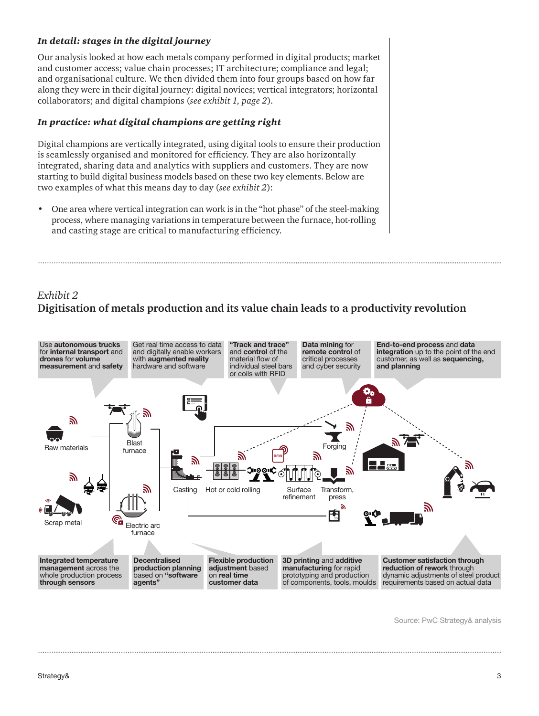#### *In detail: stages in the digital journey*

Our analysis looked at how each metals company performed in digital products; market and customer access; value chain processes; IT architecture; compliance and legal; and organisational culture. We then divided them into four groups based on how far along they were in their digital journey: digital novices; vertical integrators; horizontal collaborators; and digital champions (*see exhibit 1, page 2*).

#### *In practice: what digital champions are getting right*

Digital champions are vertically integrated, using digital tools to ensure their production is seamlessly organised and monitored for efficiency. They are also horizontally integrated, sharing data and analytics with suppliers and customers. They are now starting to build digital business models based on these two key elements. Below are two examples of what this means day to day (*see exhibit 2*):

• One area where vertical integration can work is in the "hot phase" of the steel-making process, where managing variations in temperature between the furnace, hot-rolling and casting stage are critical to manufacturing efficiency.

## *Exhibit 2* **Digitisation of metals production and its value chain leads to a productivity revolution**



Source: PwC Strategy& analysis